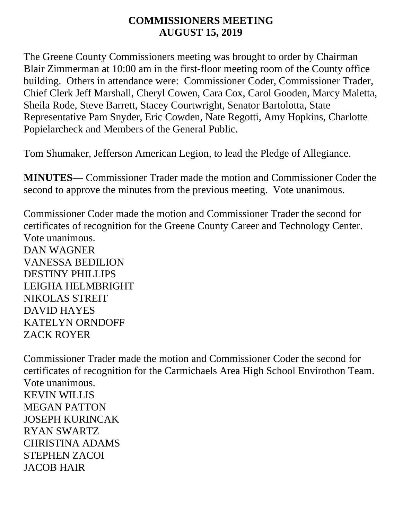#### **COMMISSIONERS MEETING AUGUST 15, 2019**

The Greene County Commissioners meeting was brought to order by Chairman Blair Zimmerman at 10:00 am in the first-floor meeting room of the County office building. Others in attendance were: Commissioner Coder, Commissioner Trader, Chief Clerk Jeff Marshall, Cheryl Cowen, Cara Cox, Carol Gooden, Marcy Maletta, Sheila Rode, Steve Barrett, Stacey Courtwright, Senator Bartolotta, State Representative Pam Snyder, Eric Cowden, Nate Regotti, Amy Hopkins, Charlotte Popielarcheck and Members of the General Public.

Tom Shumaker, Jefferson American Legion, to lead the Pledge of Allegiance.

**MINUTES**— Commissioner Trader made the motion and Commissioner Coder the second to approve the minutes from the previous meeting. Vote unanimous.

Commissioner Coder made the motion and Commissioner Trader the second for certificates of recognition for the Greene County Career and Technology Center. Vote unanimous. DAN WAGNER VANESSA BEDILION DESTINY PHILLIPS LEIGHA HELMBRIGHT NIKOLAS STREIT DAVID HAYES KATELYN ORNDOFF ZACK ROYER

Commissioner Trader made the motion and Commissioner Coder the second for certificates of recognition for the Carmichaels Area High School Envirothon Team. Vote unanimous. KEVIN WILLIS MEGAN PATTON JOSEPH KURINCAK RYAN SWARTZ CHRISTINA ADAMS STEPHEN ZACOI JACOB HAIR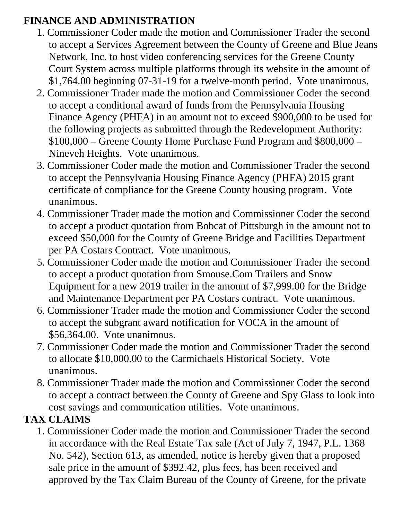### **FINANCE AND ADMINISTRATION**

- 1. Commissioner Coder made the motion and Commissioner Trader the second to accept a Services Agreement between the County of Greene and Blue Jeans Network, Inc. to host video conferencing services for the Greene County Court System across multiple platforms through its website in the amount of \$1,764.00 beginning 07-31-19 for a twelve-month period. Vote unanimous.
- 2. Commissioner Trader made the motion and Commissioner Coder the second to accept a conditional award of funds from the Pennsylvania Housing Finance Agency (PHFA) in an amount not to exceed \$900,000 to be used for the following projects as submitted through the Redevelopment Authority: \$100,000 – Greene County Home Purchase Fund Program and \$800,000 – Nineveh Heights. Vote unanimous.
- 3. Commissioner Coder made the motion and Commissioner Trader the second to accept the Pennsylvania Housing Finance Agency (PHFA) 2015 grant certificate of compliance for the Greene County housing program. Vote unanimous.
- 4. Commissioner Trader made the motion and Commissioner Coder the second to accept a product quotation from Bobcat of Pittsburgh in the amount not to exceed \$50,000 for the County of Greene Bridge and Facilities Department per PA Costars Contract. Vote unanimous.
- 5. Commissioner Coder made the motion and Commissioner Trader the second to accept a product quotation from Smouse.Com Trailers and Snow Equipment for a new 2019 trailer in the amount of \$7,999.00 for the Bridge and Maintenance Department per PA Costars contract. Vote unanimous.
- 6. Commissioner Trader made the motion and Commissioner Coder the second to accept the subgrant award notification for VOCA in the amount of \$56,364.00. Vote unanimous.
- 7. Commissioner Coder made the motion and Commissioner Trader the second to allocate \$10,000.00 to the Carmichaels Historical Society. Vote unanimous.
- 8. Commissioner Trader made the motion and Commissioner Coder the second to accept a contract between the County of Greene and Spy Glass to look into cost savings and communication utilities. Vote unanimous.

# **TAX CLAIMS**

1. Commissioner Coder made the motion and Commissioner Trader the second in accordance with the Real Estate Tax sale (Act of July 7, 1947, P.L. 1368 No. 542), Section 613, as amended, notice is hereby given that a proposed sale price in the amount of \$392.42, plus fees, has been received and approved by the Tax Claim Bureau of the County of Greene, for the private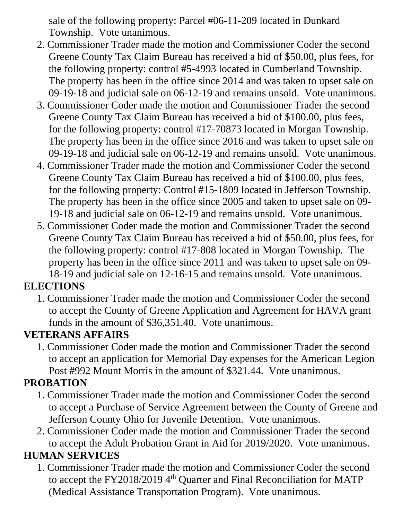sale of the following property: Parcel #06-11-209 located in Dunkard Township. Vote unanimous.

- 2. Commissioner Trader made the motion and Commissioner Coder the second Greene County Tax Claim Bureau has received a bid of \$50.00, plus fees, for the following property: control #5-4993 located in Cumberland Township. The property has been in the office since 2014 and was taken to upset sale on 09-19-18 and judicial sale on 06-12-19 and remains unsold. Vote unanimous.
- 3. Commissioner Coder made the motion and Commissioner Trader the second Greene County Tax Claim Bureau has received a bid of \$100.00, plus fees, for the following property: control #17-70873 located in Morgan Township. The property has been in the office since 2016 and was taken to upset sale on 09-19-18 and judicial sale on 06-12-19 and remains unsold. Vote unanimous.
- 4. Commissioner Trader made the motion and Commissioner Coder the second Greene County Tax Claim Bureau has received a bid of \$100.00, plus fees, for the following property: Control #15-1809 located in Jefferson Township. The property has been in the office since 2005 and taken to upset sale on 09- 19-18 and judicial sale on 06-12-19 and remains unsold. Vote unanimous.
- 5. Commissioner Coder made the motion and Commissioner Trader the second Greene County Tax Claim Bureau has received a bid of \$50.00, plus fees, for the following property: control #17-808 located in Morgan Township. The property has been in the office since 2011 and was taken to upset sale on 09- 18-19 and judicial sale on 12-16-15 and remains unsold. Vote unanimous.

### **ELECTIONS**

1. Commissioner Trader made the motion and Commissioner Coder the second to accept the County of Greene Application and Agreement for HAVA grant funds in the amount of \$36,351.40. Vote unanimous.

### **VETERANS AFFAIRS**

1. Commissioner Coder made the motion and Commissioner Trader the second to accept an application for Memorial Day expenses for the American Legion Post #992 Mount Morris in the amount of \$321.44. Vote unanimous.

# **PROBATION**

- 1. Commissioner Trader made the motion and Commissioner Coder the second to accept a Purchase of Service Agreement between the County of Greene and Jefferson County Ohio for Juvenile Detention. Vote unanimous.
- 2. Commissioner Coder made the motion and Commissioner Trader the second to accept the Adult Probation Grant in Aid for 2019/2020. Vote unanimous.

# **HUMAN SERVICES**

1. Commissioner Trader made the motion and Commissioner Coder the second to accept the FY2018/2019 4<sup>th</sup> Quarter and Final Reconciliation for MATP (Medical Assistance Transportation Program). Vote unanimous.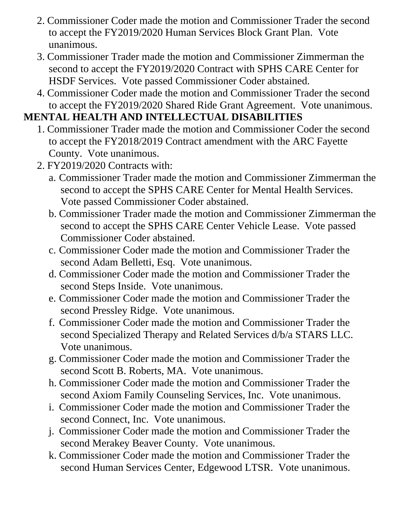- 2. Commissioner Coder made the motion and Commissioner Trader the second to accept the FY2019/2020 Human Services Block Grant Plan. Vote unanimous.
- 3. Commissioner Trader made the motion and Commissioner Zimmerman the second to accept the FY2019/2020 Contract with SPHS CARE Center for HSDF Services. Vote passed Commissioner Coder abstained.
- 4. Commissioner Coder made the motion and Commissioner Trader the second to accept the FY2019/2020 Shared Ride Grant Agreement. Vote unanimous.

### **MENTAL HEALTH AND INTELLECTUAL DISABILITIES**

- 1. Commissioner Trader made the motion and Commissioner Coder the second to accept the FY2018/2019 Contract amendment with the ARC Fayette County. Vote unanimous.
- 2. FY2019/2020 Contracts with:
	- a. Commissioner Trader made the motion and Commissioner Zimmerman the second to accept the SPHS CARE Center for Mental Health Services. Vote passed Commissioner Coder abstained.
	- b. Commissioner Trader made the motion and Commissioner Zimmerman the second to accept the SPHS CARE Center Vehicle Lease. Vote passed Commissioner Coder abstained.
	- c. Commissioner Coder made the motion and Commissioner Trader the second Adam Belletti, Esq. Vote unanimous.
	- d. Commissioner Coder made the motion and Commissioner Trader the second Steps Inside. Vote unanimous.
	- e. Commissioner Coder made the motion and Commissioner Trader the second Pressley Ridge. Vote unanimous.
	- f. Commissioner Coder made the motion and Commissioner Trader the second Specialized Therapy and Related Services d/b/a STARS LLC. Vote unanimous.
	- g. Commissioner Coder made the motion and Commissioner Trader the second Scott B. Roberts, MA. Vote unanimous.
	- h. Commissioner Coder made the motion and Commissioner Trader the second Axiom Family Counseling Services, Inc. Vote unanimous.
	- i. Commissioner Coder made the motion and Commissioner Trader the second Connect, Inc. Vote unanimous.
	- j. Commissioner Coder made the motion and Commissioner Trader the second Merakey Beaver County. Vote unanimous.
	- k. Commissioner Coder made the motion and Commissioner Trader the second Human Services Center, Edgewood LTSR. Vote unanimous.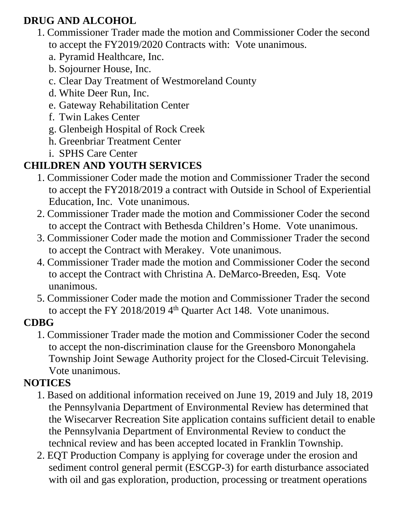# **DRUG AND ALCOHOL**

- 1. Commissioner Trader made the motion and Commissioner Coder the second to accept the FY2019/2020 Contracts with: Vote unanimous.
	- a. Pyramid Healthcare, Inc.
	- b. Sojourner House, Inc.
	- c. Clear Day Treatment of Westmoreland County
	- d. White Deer Run, Inc.
	- e. Gateway Rehabilitation Center
	- f. Twin Lakes Center
	- g. Glenbeigh Hospital of Rock Creek
	- h. Greenbriar Treatment Center
	- i. SPHS Care Center

# **CHILDREN AND YOUTH SERVICES**

- 1. Commissioner Coder made the motion and Commissioner Trader the second to accept the FY2018/2019 a contract with Outside in School of Experiential Education, Inc. Vote unanimous.
- 2. Commissioner Trader made the motion and Commissioner Coder the second to accept the Contract with Bethesda Children's Home. Vote unanimous.
- 3. Commissioner Coder made the motion and Commissioner Trader the second to accept the Contract with Merakey. Vote unanimous.
- 4. Commissioner Trader made the motion and Commissioner Coder the second to accept the Contract with Christina A. DeMarco-Breeden, Esq. Vote unanimous.
- 5. Commissioner Coder made the motion and Commissioner Trader the second to accept the FY 2018/2019  $4<sup>th</sup>$  Ouarter Act 148. Vote unanimous.

### **CDBG**

1. Commissioner Trader made the motion and Commissioner Coder the second to accept the non-discrimination clause for the Greensboro Monongahela Township Joint Sewage Authority project for the Closed-Circuit Televising. Vote unanimous.

# **NOTICES**

- 1. Based on additional information received on June 19, 2019 and July 18, 2019 the Pennsylvania Department of Environmental Review has determined that the Wisecarver Recreation Site application contains sufficient detail to enable the Pennsylvania Department of Environmental Review to conduct the technical review and has been accepted located in Franklin Township.
- 2. EQT Production Company is applying for coverage under the erosion and sediment control general permit (ESCGP-3) for earth disturbance associated with oil and gas exploration, production, processing or treatment operations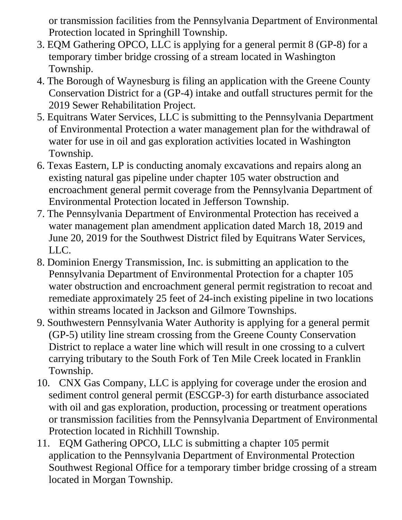or transmission facilities from the Pennsylvania Department of Environmental Protection located in Springhill Township.

- 3. EQM Gathering OPCO, LLC is applying for a general permit 8 (GP-8) for a temporary timber bridge crossing of a stream located in Washington Township.
- 4. The Borough of Waynesburg is filing an application with the Greene County Conservation District for a (GP-4) intake and outfall structures permit for the 2019 Sewer Rehabilitation Project.
- 5. Equitrans Water Services, LLC is submitting to the Pennsylvania Department of Environmental Protection a water management plan for the withdrawal of water for use in oil and gas exploration activities located in Washington Township.
- 6. Texas Eastern, LP is conducting anomaly excavations and repairs along an existing natural gas pipeline under chapter 105 water obstruction and encroachment general permit coverage from the Pennsylvania Department of Environmental Protection located in Jefferson Township.
- 7. The Pennsylvania Department of Environmental Protection has received a water management plan amendment application dated March 18, 2019 and June 20, 2019 for the Southwest District filed by Equitrans Water Services, LLC.
- 8. Dominion Energy Transmission, Inc. is submitting an application to the Pennsylvania Department of Environmental Protection for a chapter 105 water obstruction and encroachment general permit registration to recoat and remediate approximately 25 feet of 24-inch existing pipeline in two locations within streams located in Jackson and Gilmore Townships.
- 9. Southwestern Pennsylvania Water Authority is applying for a general permit (GP-5) utility line stream crossing from the Greene County Conservation District to replace a water line which will result in one crossing to a culvert carrying tributary to the South Fork of Ten Mile Creek located in Franklin Township.
- 10. CNX Gas Company, LLC is applying for coverage under the erosion and sediment control general permit (ESCGP-3) for earth disturbance associated with oil and gas exploration, production, processing or treatment operations or transmission facilities from the Pennsylvania Department of Environmental Protection located in Richhill Township.
- 11. EQM Gathering OPCO, LLC is submitting a chapter 105 permit application to the Pennsylvania Department of Environmental Protection Southwest Regional Office for a temporary timber bridge crossing of a stream located in Morgan Township.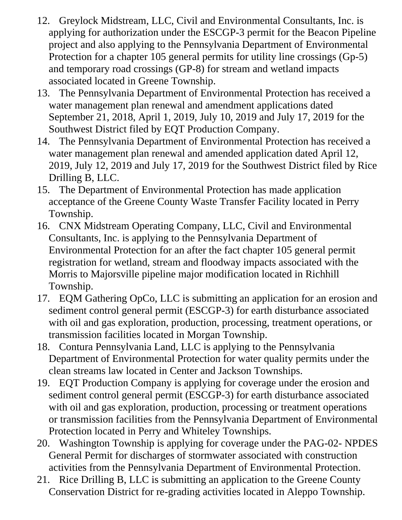- 12. Greylock Midstream, LLC, Civil and Environmental Consultants, Inc. is applying for authorization under the ESCGP-3 permit for the Beacon Pipeline project and also applying to the Pennsylvania Department of Environmental Protection for a chapter 105 general permits for utility line crossings (Gp-5) and temporary road crossings (GP-8) for stream and wetland impacts associated located in Greene Township.
- 13. The Pennsylvania Department of Environmental Protection has received a water management plan renewal and amendment applications dated September 21, 2018, April 1, 2019, July 10, 2019 and July 17, 2019 for the Southwest District filed by EQT Production Company.
- 14. The Pennsylvania Department of Environmental Protection has received a water management plan renewal and amended application dated April 12, 2019, July 12, 2019 and July 17, 2019 for the Southwest District filed by Rice Drilling B, LLC.
- 15. The Department of Environmental Protection has made application acceptance of the Greene County Waste Transfer Facility located in Perry Township.
- 16. CNX Midstream Operating Company, LLC, Civil and Environmental Consultants, Inc. is applying to the Pennsylvania Department of Environmental Protection for an after the fact chapter 105 general permit registration for wetland, stream and floodway impacts associated with the Morris to Majorsville pipeline major modification located in Richhill Township.
- 17. EQM Gathering OpCo, LLC is submitting an application for an erosion and sediment control general permit (ESCGP-3) for earth disturbance associated with oil and gas exploration, production, processing, treatment operations, or transmission facilities located in Morgan Township.
- 18. Contura Pennsylvania Land, LLC is applying to the Pennsylvania Department of Environmental Protection for water quality permits under the clean streams law located in Center and Jackson Townships.
- 19. EQT Production Company is applying for coverage under the erosion and sediment control general permit (ESCGP-3) for earth disturbance associated with oil and gas exploration, production, processing or treatment operations or transmission facilities from the Pennsylvania Department of Environmental Protection located in Perry and Whiteley Townships.
- 20. Washington Township is applying for coverage under the PAG-02- NPDES General Permit for discharges of stormwater associated with construction activities from the Pennsylvania Department of Environmental Protection.
- 21. Rice Drilling B, LLC is submitting an application to the Greene County Conservation District for re-grading activities located in Aleppo Township.